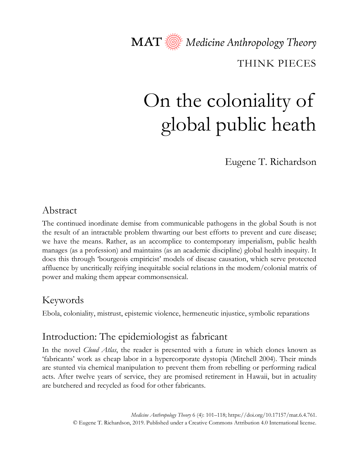MAT  $\overline{\textcircled{\mathbb R}}$  Medicine Anthropology Theory

THINK PIECES

# On the coloniality of global public heath

Eugene T. Richardson

# Abstract

The continued inordinate demise from communicable pathogens in the global South is not the result of an intractable problem thwarting our best efforts to prevent and cure disease; we have the means. Rather, as an accomplice to contemporary imperialism, public health manages (as a profession) and maintains (as an academic discipline) global health inequity. It does this through 'bourgeois empiricist' models of disease causation, which serve protected affluence by uncritically reifying inequitable social relations in the modern/colonial matrix of power and making them appear commonsensical.

# Keywords

Ebola, coloniality, mistrust, epistemic violence, hermeneutic injustice, symbolic reparations

# Introduction: The epidemiologist as fabricant

In the novel *Cloud Atlas*, the reader is presented with a future in which clones known as 'fabricants' work as cheap labor in a hypercorporate dystopia (Mitchell 2004). Their minds are stunted via chemical manipulation to prevent them from rebelling or performing radical acts. After twelve years of service, they are promised retirement in Hawaii, but in actuality are butchered and recycled as food for other fabricants.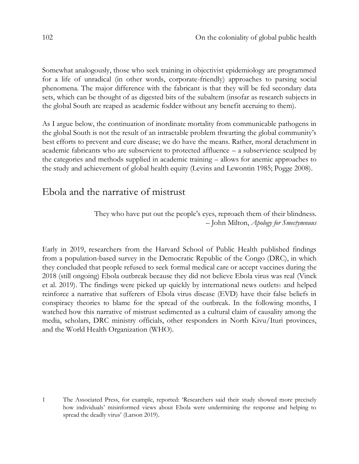Somewhat analogously, those who seek training in objectivist epidemiology are programmed for a life of unradical (in other words, corporate-friendly) approaches to parsing social phenomena. The major difference with the fabricant is that they will be fed secondary data sets, which can be thought of as digested bits of the subaltern (insofar as research subjects in the global South are reaped as academic fodder without any benefit accruing to them).

As I argue below, the continuation of inordinate mortality from communicable pathogens in the global South is not the result of an intractable problem thwarting the global community's best efforts to prevent and cure disease; we do have the means. Rather, moral detachment in academic fabricants who are subservient to protected affluence – a subservience sculpted by the categories and methods supplied in academic training – allows for anemic approaches to the study and achievement of global health equity (Levins and Lewontin 1985; Pogge 2008).

# Ebola and the narrative of mistrust

They who have put out the people's eyes, reproach them of their blindness. – John Milton, *Apology for Smectymnuus*

Early in 2019, researchers from the Harvard School of Public Health published findings from a population-based survey in the Democratic Republic of the Congo (DRC), in which they concluded that people refused to seek formal medical care or accept vaccines during the 2018 (still ongoing) Ebola outbreak because they did not believe Ebola virus was real (Vinck et al. 2019). The findings were picked up quickly by international news outlets1 and helped reinforce a narrative that sufferers of Ebola virus disease (EVD) have their false beliefs in conspiracy theories to blame for the spread of the outbreak. In the following months, I watched how this narrative of mistrust sedimented as a cultural claim of causality among the media, scholars, DRC ministry officials, other responders in North Kivu/Ituri provinces, and the World Health Organization (WHO).

<sup>1</sup> The Associated Press, for example, reported: 'Researchers said their study showed more precisely how individuals' misinformed views about Ebola were undermining the response and helping to spread the deadly virus' (Larson 2019).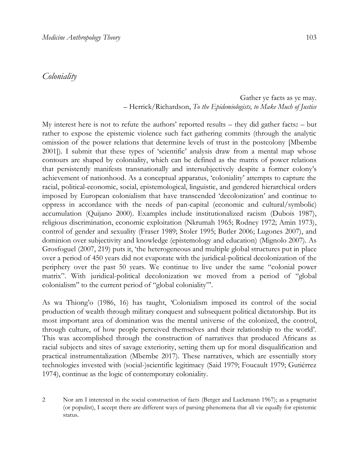#### *Coloniality*

#### Gather ye facts as ye may. – Herrick/Richardson, *To the Epidemiologists, to Make Much of Justice*

My interest here is not to refute the authors' reported results – they did gather facts $z -$  but rather to expose the epistemic violence such fact gathering commits (through the analytic omission of the power relations that determine levels of trust in the postcolony [Mbembe 2001]). I submit that these types of 'scientific' analysis draw from a mental map whose contours are shaped by coloniality, which can be defined as the matrix of power relations that persistently manifests transnationally and intersubjectively despite a former colony's achievement of nationhood. As a conceptual apparatus, 'coloniality' attempts to capture the racial, political-economic, social, epistemological, linguistic, and gendered hierarchical orders imposed by European colonialism that have transcended 'decolonization' and continue to oppress in accordance with the needs of pan-capital (economic and cultural/symbolic) accumulation (Quijano 2000). Examples include institutionalized racism (Dubois 1987), religious discrimination, economic exploitation (Nkrumah 1965; Rodney 1972; Amin 1973), control of gender and sexuality (Fraser 1989; Stoler 1995; Butler 2006; Lugones 2007), and dominion over subjectivity and knowledge (epistemology and education) (Mignolo 2007). As Grosfoguel (2007, 219) puts it, 'the heterogeneous and multiple global structures put in place over a period of 450 years did not evaporate with the juridical-political decolonization of the periphery over the past 50 years. We continue to live under the same "colonial power matrix". With juridical-political decolonization we moved from a period of "global colonialism" to the current period of "global coloniality"'.

As wa Thiong'o (1986, 16) has taught, 'Colonialism imposed its control of the social production of wealth through military conquest and subsequent political dictatorship. But its most important area of domination was the mental universe of the colonized, the control, through culture, of how people perceived themselves and their relationship to the world'. This was accomplished through the construction of narratives that produced Africans as racial subjects and sites of savage exteriority, setting them up for moral disqualification and practical instrumentalization (Mbembe 2017). These narratives, which are essentially story technologies invested with (social-)scientific legitimacy (Said 1979; Foucault 1979; Gutiérrez 1974), continue as the logic of contemporary coloniality.

2 Nor am I interested in the social construction of facts (Berger and Luckmann 1967); as a pragmatist (or populist), I accept there are different ways of parsing phenomena that all vie equally for epistemic status.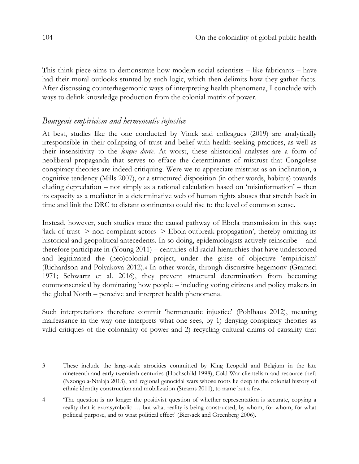This think piece aims to demonstrate how modern social scientists – like fabricants – have had their moral outlooks stunted by such logic, which then delimits how they gather facts. After discussing counterhegemonic ways of interpreting health phenomena, I conclude with ways to delink knowledge production from the colonial matrix of power.

#### *Bourgeois empiricism and hermeneutic injustice*

At best, studies like the one conducted by Vinck and colleagues (2019) are analytically irresponsible in their collapsing of trust and belief with health-seeking practices, as well as their insensitivity to the *longue durée*. At worst, these ahistorical analyses are a form of neoliberal propaganda that serves to efface the determinants of mistrust that Congolese conspiracy theories are indeed critiquing*.* Were we to appreciate mistrust as an inclination, a cognitive tendency (Mills 2007), or a structured disposition (in other words, habitus) towards eluding depredation – not simply as a rational calculation based on 'misinformation' – then its capacity as a mediator in a determinative web of human rights abuses that stretch back in time and link the DRC to distant continents<sup>3</sup> could rise to the level of common sense.

Instead, however, such studies trace the causal pathway of Ebola transmission in this way: 'lack of trust -> non-compliant actors -> Ebola outbreak propagation', thereby omitting its historical and geopolitical antecedents. In so doing, epidemiologists actively reinscribe – and therefore participate in (Young 2011) – centuries-old racial hierarchies that have underscored and legitimated the (neo)colonial project, under the guise of objective 'empiricism' (Richardson and Polyakova 2012).<sup>4</sup> In other words, through discursive hegemony (Gramsci 1971; Schwartz et al. 2016), they prevent structural determination from becoming commonsensical by dominating how people – including voting citizens and policy makers in the global North – perceive and interpret health phenomena.

Such interpretations therefore commit 'hermeneutic injustice' (Pohlhaus 2012), meaning malfeasance in the way one interprets what one sees, by 1) denying conspiracy theories as valid critiques of the coloniality of power and 2) recycling cultural claims of causality that

<sup>3</sup> These include the large-scale atrocities committed by King Leopold and Belgium in the late nineteenth and early twentieth centuries (Hochschild 1998), Cold War clientelism and resource theft (Nzongola-Ntalaja 2013), and regional genocidal wars whose roots lie deep in the colonial history of ethnic identity construction and mobilization (Stearns 2011), to name but a few.

<sup>4</sup> 'The question is no longer the positivist question of whether representation is accurate, copying a reality that is extrasymbolic … but what reality is being constructed, by whom, for whom, for what political purpose, and to what political effect' (Biersack and Greenberg 2006).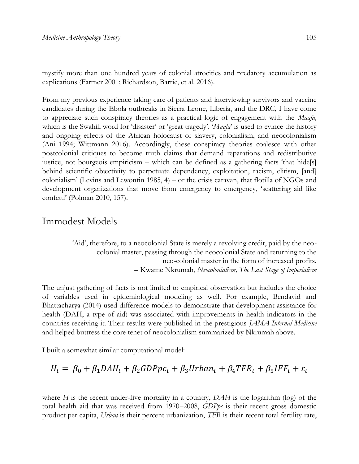mystify more than one hundred years of colonial atrocities and predatory accumulation as explications (Farmer 2001; Richardson, Barrie, et al. 2016).

From my previous experience taking care of patients and interviewing survivors and vaccine candidates during the Ebola outbreaks in Sierra Leone, Liberia, and the DRC, I have come to appreciate such conspiracy theories as a practical logic of engagement with the *Maafa,*  which is the Swahili word for 'disaster' or 'great tragedy'. '*Maafa*' is used to evince the history and ongoing effects of the African holocaust of slavery, colonialism, and neocolonialism (Ani 1994; Wittmann 2016). Accordingly, these conspiracy theories coalesce with other postcolonial critiques to become truth claims that demand reparations and redistributive justice, not bourgeois empiricism – which can be defined as a gathering facts 'that hide[s] behind scientific objectivity to perpetuate dependency, exploitation, racism, elitism, [and] colonialism' (Levins and Lewontin 1985, 4) – or the crisis caravan, that flotilla of NGOs and development organizations that move from emergency to emergency, 'scattering aid like confetti' (Polman 2010, 157).

## Immodest Models

'Aid', therefore, to a neocolonial State is merely a revolving credit, paid by the neocolonial master, passing through the neocolonial State and returning to the neo-colonial master in the form of increased profits. – Kwame Nkrumah, *Neocolonialism, The Last Stage of Imperialism*

The unjust gathering of facts is not limited to empirical observation but includes the choice of variables used in epidemiological modeling as well. For example, Bendavid and Bhattacharya (2014) used difference models to demonstrate that development assistance for health (DAH, a type of aid) was associated with improvements in health indicators in the countries receiving it. Their results were published in the prestigious *JAMA Internal Medicine* and helped buttress the core tenet of neocolonialism summarized by Nkrumah above.

I built a somewhat similar computational model:

$$
H_t = \beta_0 + \beta_1 DA H_t + \beta_2 GDPpc_t + \beta_3 Urban_t + \beta_4 TFR_t + \beta_5 IFF_t + \varepsilon_t
$$

where *H* is the recent under-five mortality in a country, *DAH* is the logarithm (log) of the total health aid that was received from 1970–2008, *GDPpc* is their recent gross domestic product per capita, *Urban* is their percent urbanization, *TFR* is their recent total fertility rate,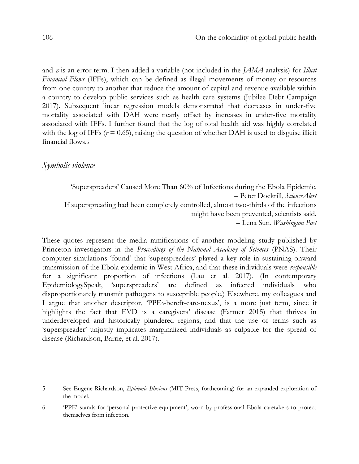and  $\varepsilon$  is an error term. I then added a variable (not included in the *JAMA* analysis) for *Illicit Financial Flows* (IFFs), which can be defined as illegal movements of money or resources from one country to another that reduce the amount of capital and revenue available within a country to develop public services such as health care systems (Jubilee Debt Campaign 2017). Subsequent linear regression models demonstrated that decreases in under-five mortality associated with DAH were nearly offset by increases in under-five mortality associated with IFFs. I further found that the log of total health aid was highly correlated with the log of IFFs  $(r = 0.65)$ , raising the question of whether DAH is used to disguise illicit financial flows.<sup>5</sup>

#### *Symbolic violence*

'Superspreaders' Caused More Than 60% of Infections during the Ebola Epidemic. – Peter Dockrill, *ScienceAlert* If superspreading had been completely controlled, almost two-thirds of the infections might have been prevented, scientists said. – Lena Sun, *Washington Post*

These quotes represent the media ramifications of another modeling study published by Princeton investigators in the *Proceedings of the National Academy of Sciences* (PNAS). Their computer simulations 'found' that 'superspreaders' played a key role in sustaining onward transmission of the Ebola epidemic in West Africa, and that these individuals were *responsible*  for a significant proportion of infections (Lau et al. 2017). (In contemporary EpidemiologySpeak, 'superspreaders' are defined as infected individuals who disproportionately transmit pathogens to susceptible people.) Elsewhere, my colleagues and I argue that another descriptor, 'PPE6-bereft-care-nexus', is a more just term, since it highlights the fact that EVD is a caregivers' disease (Farmer 2015) that thrives in underdeveloped and historically plundered regions, and that the use of terms such as 'superspreader' unjustly implicates marginalized individuals as culpable for the spread of disease (Richardson, Barrie, et al. 2017).

<sup>5</sup> See Eugene Richardson, *Epidemic Illusions* (MIT Press, forthcoming) for an expanded exploration of the model.

<sup>6</sup> 'PPE' stands for 'personal protective equipment', worn by professional Ebola caretakers to protect themselves from infection.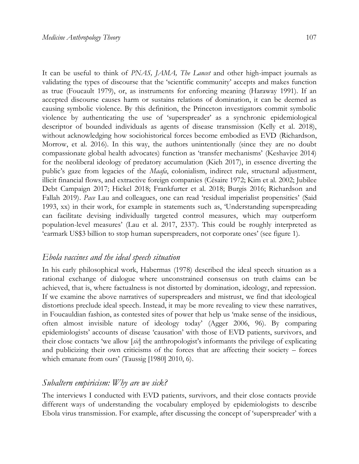It can be useful to think of *PNAS, JAMA, The Lancet* and other high-impact journals as validating the types of discourse that the 'scientific community' accepts and makes function as true (Foucault 1979), or, as instruments for enforcing meaning (Haraway 1991). If an accepted discourse causes harm or sustains relations of domination, it can be deemed as causing symbolic violence. By this definition, the Princeton investigators commit symbolic violence by authenticating the use of 'superspreader' as a synchronic epidemiological descriptor of bounded individuals as agents of disease transmission (Kelly et al. 2018), without acknowledging how sociohistorical forces become embodied as EVD (Richardson, Morrow, et al. 2016). In this way, the authors unintentionally (since they are no doubt compassionate global health advocates) function as 'transfer mechanisms' (Keshavjee 2014) for the neoliberal ideology of predatory accumulation (Kieh 2017), in essence diverting the public's gaze from legacies of the *Maafa*, colonialism, indirect rule, structural adjustment, illicit financial flows, and extractive foreign companies (Césaire 1972; Kim et al. 2002; Jubilee Debt Campaign 2017; Hickel 2018; Frankfurter et al. 2018; Burgis 2016; Richardson and Fallah 2019). *Pace* Lau and colleagues, one can read 'residual imperialist propensities' (Said 1993, xx) in their work, for example in statements such as, 'Understanding superspreading can facilitate devising individually targeted control measures, which may outperform population-level measures' (Lau et al. 2017, 2337). This could be roughly interpreted as 'earmark US\$3 billion to stop human superspreaders, not corporate ones' (see figure 1).

#### *Ebola vaccines and the ideal speech situation*

In his early philosophical work, Habermas (1978) described the ideal speech situation as a rational exchange of dialogue where unconstrained consensus on truth claims can be achieved, that is, where factualness is not distorted by domination, ideology, and repression. If we examine the above narratives of superspreaders and mistrust, we find that ideological distortions preclude ideal speech. Instead, it may be more revealing to view these narratives, in Foucauldian fashion, as contested sites of power that help us 'make sense of the insidious, often almost invisible nature of ideology today' (Agger 2006, 96). By comparing epidemiologists' accounts of disease 'causation' with those of EVD patients, survivors, and their close contacts 'we allow [*sic*] the anthropologist's informants the privilege of explicating and publicizing their own criticisms of the forces that are affecting their society – forces which emanate from ours' (Taussig [1980] 2010, 6).

#### *Subaltern empiricism: Why are we sick?*

The interviews I conducted with EVD patients, survivors, and their close contacts provide different ways of understanding the vocabulary employed by epidemiologists to describe Ebola virus transmission. For example, after discussing the concept of 'superspreader' with a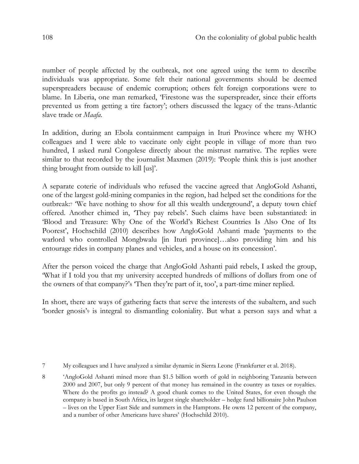number of people affected by the outbreak, not one agreed using the term to describe individuals was appropriate. Some felt their national governments should be deemed superspreaders because of endemic corruption; others felt foreign corporations were to blame. In Liberia, one man remarked, 'Firestone was the superspreader, since their efforts prevented us from getting a tire factory'; others discussed the legacy of the trans-Atlantic slave trade or *Maafa*.

In addition, during an Ebola containment campaign in Ituri Province where my WHO colleagues and I were able to vaccinate only eight people in village of more than two hundred, I asked rural Congolese directly about the mistrust narrative. The replies were similar to that recorded by the journalist Maxmen (2019): 'People think this is just another thing brought from outside to kill [us]'.

A separate coterie of individuals who refused the vaccine agreed that AngloGold Ashanti, one of the largest gold-mining companies in the region, had helped set the conditions for the outbreak:<sup>7</sup> 'We have nothing to show for all this wealth underground', a deputy town chief offered. Another chimed in, 'They pay rebels'. Such claims have been substantiated: in 'Blood and Treasure: Why One of the World's Richest Countries Is Also One of Its Poorest', Hochschild (2010) describes how AngloGold Ashanti made 'payments to the warlord who controlled Mongbwalu [in Ituri province]...also providing him and his entourage rides in company planes and vehicles, and a house on its concession'.

After the person voiced the charge that AngloGold Ashanti paid rebels, I asked the group, 'What if I told you that my university accepted hundreds of millions of dollars from one of the owners of that company?'<sup>8</sup> 'Then they're part of it, too', a part-time miner replied.

In short, there are ways of gathering facts that serve the interests of the subaltern, and such 'border gnosis'<sup>9</sup> is integral to dismantling coloniality. But what a person says and what a

<sup>7</sup> My colleagues and I have analyzed a similar dynamic in Sierra Leone (Frankfurter et al. 2018).

<sup>8</sup> 'AngloGold Ashanti mined more than \$1.5 billion worth of gold in neighboring Tanzania between 2000 and 2007, but only 9 percent of that money has remained in the country as taxes or royalties. Where do the profits go instead? A good chunk comes to the United States, for even though the company is based in South Africa, its largest single shareholder – hedge fund billionaire John Paulson – lives on the Upper East Side and summers in the Hamptons. He owns 12 percent of the company, and a number of other Americans have shares' (Hochschild 2010).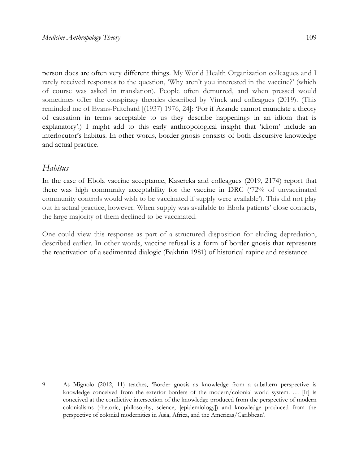person does are often very different things. My World Health Organization colleagues and I rarely received responses to the question, 'Why aren't you interested in the vaccine?' (which of course was asked in translation). People often demurred, and when pressed would sometimes offer the conspiracy theories described by Vinck and colleagues (2019). (This reminded me of Evans-Pritchard [(1937) 1976, 24]: 'For if Azande cannot enunciate a theory of causation in terms acceptable to us they describe happenings in an idiom that is explanatory'.) I might add to this early anthropological insight that 'idiom' include an interlocutor's habitus. In other words, border gnosis consists of both discursive knowledge and actual practice.

#### *Habitus*

In the case of Ebola vaccine acceptance, Kasereka and colleagues (2019, 2174) report that there was high community acceptability for the vaccine in DRC ('72% of unvaccinated community controls would wish to be vaccinated if supply were available'). This did not play out in actual practice, however. When supply was available to Ebola patients' close contacts, the large majority of them declined to be vaccinated.

One could view this response as part of a structured disposition for eluding depredation, described earlier. In other words, vaccine refusal is a form of border gnosis that represents the reactivation of a sedimented dialogic (Bakhtin 1981) of historical rapine and resistance.

<sup>9</sup> As Mignolo (2012, 11) teaches, 'Border gnosis as knowledge from a subaltern perspective is knowledge conceived from the exterior borders of the modern/colonial world system. … [It] is conceived at the conflictive intersection of the knowledge produced from the perspective of modern colonialisms (rhetoric, philosophy, science, [epidemiology]) and knowledge produced from the perspective of colonial modernities in Asia, Africa, and the Americas/Caribbean'.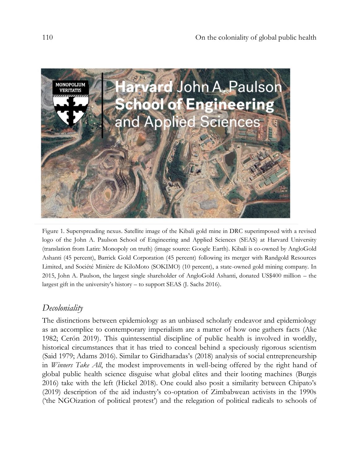

Figure 1. Superspreading nexus. Satellite image of the Kibali gold mine in DRC superimposed with a revised logo of the John A. Paulson School of Engineering and Applied Sciences (SEAS) at Harvard University (translation from Latin: Monopoly on truth) (image source: Google Earth). Kibali is co-owned by AngloGold Ashanti (45 percent), Barrick Gold Corporation (45 percent) following its merger with Randgold Resources Limited, and Société Minière de KiloMoto (SOKIMO) (10 percent), a state-owned gold mining company. In 2015, John A. Paulson, the largest single shareholder of AngloGold Ashanti, donated US\$400 million – the largest gift in the university's history – to support SEAS (J. Sachs 2016).

## *Decoloniality*

The distinctions between epidemiology as an unbiased scholarly endeavor and epidemiology as an accomplice to contemporary imperialism are a matter of how one gathers facts (Ake 1982; Cerón 2019). This quintessential discipline of public health is involved in worldly, historical circumstances that it has tried to conceal behind a speciously rigorous scientism (Said 1979; Adams 2016). Similar to Giridharadas's (2018) analysis of social entrepreneurship in *Winners Take All*, the modest improvements in well-being offered by the right hand of global public health science disguise what global elites and their looting machines (Burgis 2016) take with the left (Hickel 2018). One could also posit a similarity between Chipato's (2019) description of the aid industry's co-optation of Zimbabwean activists in the 1990s ('the NGOization of political protest') and the relegation of political radicals to schools of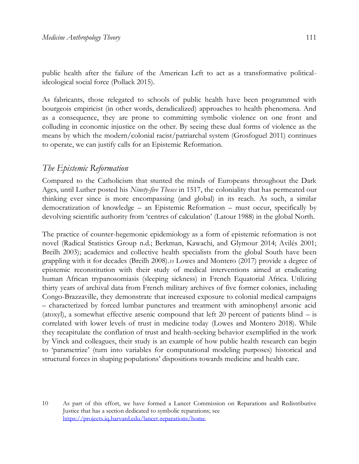public health after the failure of the American Left to act as a transformative politicalideological social force (Pollack 2015).

As fabricants, those relegated to schools of public health have been programmed with bourgeois empiricist (in other words, deradicalized) approaches to health phenomena. And as a consequence, they are prone to committing symbolic violence on one front and colluding in economic injustice on the other. By seeing these dual forms of violence as the means by which the modern/colonial racist/patriarchal system (Grosfoguel 2011) continues to operate, we can justify calls for an Epistemic Reformation.

# *The Epistemic Reformation*

Compared to the Catholicism that stunted the minds of Europeans throughout the Dark Ages, until Luther posted his *Ninety-five Theses* in 1517, the coloniality that has permeated our thinking ever since is more encompassing (and global) in its reach. As such, a similar democratization of knowledge – an Epistemic Reformation – must occur, specifically by devolving scientific authority from 'centres of calculation' (Latour 1988) in the global North.

The practice of counter-hegemonic epidemiology as a form of epistemic reformation is not novel (Radical Statistics Group n.d.; Berkman, Kawachi, and Glymour 2014; Avilés 2001; Breilh 2003); academics and collective health specialists from the global South have been grappling with it for decades (Breilh 2008).<sup>10</sup> Lowes and Montero (2017) provide a degree of epistemic reconstitution with their study of medical interventions aimed at eradicating human African trypanosomiasis (sleeping sickness) in French Equatorial Africa. Utilizing thirty years of archival data from French military archives of five former colonies, including Congo-Brazzaville, they demonstrate that increased exposure to colonial medical campaigns – characterized by forced lumbar punctures and treatment with aminophenyl arsonic acid (atoxyl), a somewhat effective arsenic compound that left 20 percent of patients blind – is correlated with lower levels of trust in medicine today (Lowes and Montero 2018). While they recapitulate the conflation of trust and health-seeking behavior exemplified in the work by Vinck and colleagues, their study is an example of how public health research can begin to 'parametrize' (turn into variables for computational modeling purposes) historical and structural forces in shaping populations' dispositions towards medicine and health care.

10 As part of this effort, we have formed a Lancet Commission on Reparations and Redistributive Justice that has a section dedicated to symbolic reparations; see [https://projects.iq.harvard.edu/lancet-reparations/home.](https://projects.iq.harvard.edu/lancet-reparations/home)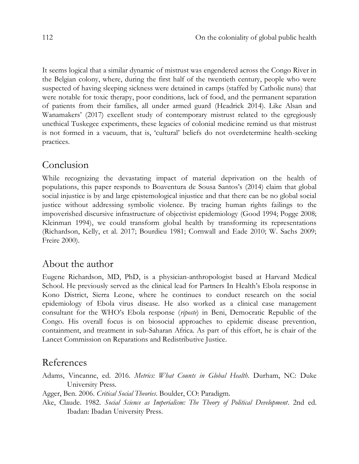It seems logical that a similar dynamic of mistrust was engendered across the Congo River in the Belgian colony, where, during the first half of the twentieth century, people who were suspected of having sleeping sickness were detained in camps (staffed by Catholic nuns) that were notable for toxic therapy, poor conditions, lack of food, and the permanent separation of patients from their families, all under armed guard (Headrick 2014). Like Alsan and Wanamakers' (2017) excellent study of contemporary mistrust related to the egregiously unethical Tuskegee experiments, these legacies of colonial medicine remind us that mistrust is not formed in a vacuum, that is, 'cultural' beliefs do not overdetermine health-seeking practices.

# Conclusion

While recognizing the devastating impact of material deprivation on the health of populations, this paper responds to Boaventura de Sousa Santos's (2014) claim that global social injustice is by and large epistemological injustice and that there can be no global social justice without addressing symbolic violence. By tracing human rights failings to the impoverished discursive infrastructure of objectivist epidemiology (Good 1994; Pogge 2008; Kleinman 1994), we could transform global health by transforming its representations (Richardson, Kelly, et al. 2017; Bourdieu 1981; Cornwall and Eade 2010; W. Sachs 2009; Freire 2000).

#### About the author

Eugene Richardson, MD, PhD, is a physician-anthropologist based at Harvard Medical School. He previously served as the clinical lead for Partners In Health's Ebola response in Kono District, Sierra Leone, where he continues to conduct research on the social epidemiology of Ebola virus disease. He also worked as a clinical case management consultant for the WHO's Ebola response (*riposte*) in Beni, Democratic Republic of the Congo. His overall focus is on biosocial approaches to epidemic disease prevention, containment, and treatment in sub-Saharan Africa. As part of this effort, he is chair of the Lancet Commission on Reparations and Redistributive Justice.

### References

- Adams, Vincanne, ed. 2016. *Metrics: What Counts in Global Health*. Durham, NC: Duke University Press.
- Agger, Ben. 2006. *Critical Social Theories*. Boulder, CO: Paradigm.
- Ake, Claude. 1982. *Social Science as Imperialism: The Theory of Political Development*. 2nd ed. Ibadan: Ibadan University Press.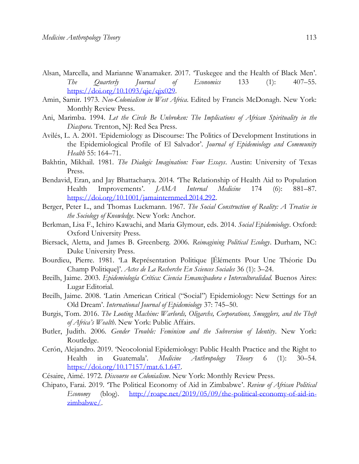- Alsan, Marcella, and Marianne Wanamaker. 2017. 'Tuskegee and the Health of Black Men'. *The Quarterly Journal of Economics* 133 (1): 407–55. [https://doi.org/10.1093/qje/qjx029.](https://doi.org/10.1093/qje/qjx029)
- Amin, Samir. 1973. *Neo-Colonialism in West Africa*. Edited by Francis McDonagh. New York: Monthly Review Press.
- Ani, Marimba. 1994. *Let the Circle Be Unbroken: The Implications of African Spirituality in the Diaspora*. Trenton, NJ: Red Sea Press.
- Avilés, L. A. 2001. 'Epidemiology as Discourse: The Politics of Development Institutions in the Epidemiological Profile of El Salvador'. *Journal of Epidemiology and Community Health* 55: 164–71.
- Bakhtin, Mikhail. 1981. *The Dialogic Imagination: Four Essays*. Austin: University of Texas Press.
- Bendavid, Eran, and Jay Bhattacharya. 2014. 'The Relationship of Health Aid to Population Health Improvements'. *JAMA Internal Medicine* 174 (6): 881–87. [https://doi.org/10.1001/jamainternmed.2014.292.](https://doi.org/10.1001/jamainternmed.2014.292)
- Berger, Peter L., and Thomas Luckmann. 1967. *The Social Construction of Reality: A Treatise in the Sociology of Knowledge*. New York: Anchor.
- Berkman, Lisa F., Ichiro Kawachi, and Maria Glymour, eds. 2014. *Social Epidemiology*. Oxford: Oxford University Press.
- Biersack, Aletta, and James B. Greenberg. 2006. *Reimagining Political Ecology*. Durham, NC: Duke University Press.
- Bourdieu, Pierre. 1981. 'La Représentation Politique [Éléments Pour Une Théorie Du Champ Politique]'. *Actes de La Recherche En Sciences Sociales* 36 (1): 3–24.
- Breilh, Jaime. 2003. *Epidemiología Crítica: Ciencia Emancipadora e Interculturalidad.* Buenos Aires: Lugar Editorial.
- Breilh, Jaime. 2008. 'Latin American Critical ("Social") Epidemiology: New Settings for an Old Dream'. *International Journal of Epidemiology* 37: 745–50.
- Burgis, Tom. 2016. *The Looting Machine: Warlords, Oligarchs, Corporations, Smugglers, and the Theft of Africa's Wealth*. New York: Public Affairs.
- Butler, Judith. 2006. *Gender Trouble: Feminism and the Subversion of Identity*. New York: Routledge.
- Cerón, Alejandro. 2019. 'Neocolonial Epidemiology: Public Health Practice and the Right to Health in Guatemala'. *Medicine Anthropology Theory* 6 (1): 30–54. [https://doi.org/10.17157/mat.6.1.647.](https://doi.org/10.17157/mat.6.1.647)
- Césaire, Aimé. 1972. *Discourse on Colonialism*. New York: Monthly Review Press.
- Chipato, Farai. 2019. 'The Political Economy of Aid in Zimbabwe'. *Review of African Political Economy* (blog). [http://roape.net/2019/05/09/the-political-economy-of-aid-in](http://roape.net/2019/05/09/the-political-economy-of-aid-in-zimbabwe/)[zimbabwe/.](http://roape.net/2019/05/09/the-political-economy-of-aid-in-zimbabwe/)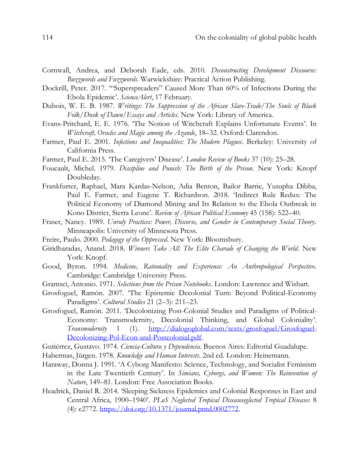- Cornwall, Andrea, and Deborah Eade, eds. 2010. *Deconstructing Development Discourse: Buzzwords and Fuzzwords*. Warwickshire: Practical Action Publishing.
- Dockrill, Peter. 2017. '"Superspreaders" Caused More Than 60% of Infections During the Ebola Epidemic'. *ScienceAlert*, 17 February.
- Dubois, W. E. B. 1987. *Writings: The Suppression of the African Slave-Trade/The Souls of Black Folk/Dusk of Dawn/Essays and Articles*. New York: Library of America.
- Evans-Pritchard, E. E. 1976. 'The Notion of Witchcraft Explains Unfortunate Events'. In *Witchcraft, Oracles and Magic among the Azande*, 18–32. Oxford: Clarendon.
- Farmer, Paul E. 2001. *Infections and Inequalities: The Modern Plagues*. Berkeley: University of California Press.
- Farmer, Paul E. 2015. 'The Caregivers' Disease'. *London Review of Books* 37 (10): 25–28.
- Foucault, Michel. 1979. *Discipline and Punish: The Birth of the Prison*. New York: Knopf Doubleday.
- Frankfurter, Raphael, Mara Kardas-Nelson, Adia Benton, Bailor Barrie, Yusupha Dibba, Paul E. Farmer, and Eugene T. Richardson. 2018. 'Indirect Rule Redux: The Political Economy of Diamond Mining and Its Relation to the Ebola Outbreak in Kono District, Sierra Leone'. *Review of African Political Economy* 45 (158): 522–40.
- Fraser, Nancy. 1989. *Unruly Practices: Power, Discorse, and Gender in Contemporary Social Theory*. Minneapolis: University of Minnesota Press.
- Freire, Paulo. 2000. *Pedagogy of the Oppressed*. New York: Bloomsbury.
- Giridharadas, Anand. 2018. *Winners Take All: The Elite Charade of Changing the World*. New York: Knopf.
- Good, Byron. 1994. *Medicine, Rationality and Experience: An Anthropological Perspective*. Cambridge: Cambridge University Press.
- Gramsci, Antonio. 1971. *Selections from the Prison Notebooks*. London: Lawrence and Wishart.
- Grosfoguel, Ramón. 2007. 'The Epistemic Decolonial Turn: Beyond Political-Economy Paradigms'. *Cultural Studies* 21 (2–3): 211–23.
- Grosfoguel, Ramón. 2011. 'Decolonizing Post-Colonial Studies and Paradigms of Political-Economy: Transmodernity, Decolonial Thinking, and Global Coloniality'. *Transmodernity* 1 (1). [http://dialogoglobal.com/texts/grosfoguel/Grosfoguel-](http://dialogoglobal.com/texts/grosfoguel/Grosfoguel-Decolonizing-Pol-Econ-and-Postcolonial.pdf)[Decolonizing-Pol-Econ-and-Postcolonial.pdf.](http://dialogoglobal.com/texts/grosfoguel/Grosfoguel-Decolonizing-Pol-Econ-and-Postcolonial.pdf)
- Gutiérrez, Gustavo. 1974. *Ciencia-Cultura y Dependencia*. Buenos Aires: Editorial Guadalupe.
- Habermas, Jürgen. 1978. *Knowledge and Human Interests*. 2nd ed. London: Heinemann.
- Haraway, Donna J. 1991. 'A Cyborg Manifesto: Science, Technology, and Socialist Feminism in the Late Twentieth Century'. In *Simians, Cyborgs, and Women: The Reinvention of Nature*, 149–81. London: Free Association Books.
- Headrick, Daniel R. 2014. 'Sleeping Sickness Epidemics and Colonial Responses in East and Central Africa, 1900–1940'. *PLoS Neglected Tropical Diseaseseglected Tropical Diseases* 8 (4): e2772. [https://doi.org/10.1371/journal.pntd.0002772.](https://doi.org/10.1371/journal.pntd.0002772)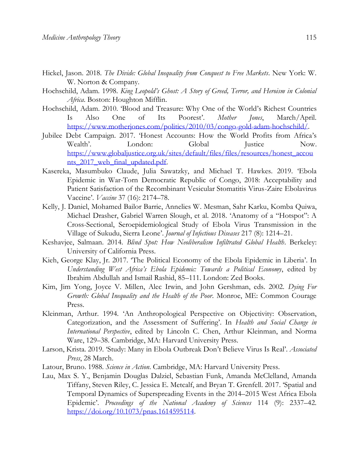- Hickel, Jason. 2018. *The Divide: Global Inequality from Conquest to Free Markets*. New York: W. W. Norton & Company.
- Hochschild, Adam. 1998. *King Leopold's Ghost: A Story of Greed, Terror, and Heroism in Colonial Africa*. Boston: Houghton Mifflin.
- Hochschild, Adam. 2010. 'Blood and Treasure: Why One of the World's Richest Countries Is Also One of Its Poorest'. *Mother Jones*, March/April. [https://www.motherjones.com/politics/2010/03/congo-gold-adam-hochschild/.](https://www.motherjones.com/politics/2010/03/congo-gold-adam-hochschild/)
- Jubilee Debt Campaign. 2017. 'Honest Accounts: How the World Profits from Africa's Wealth'. London: Global Justice Now. [https://www.globaljustice.org.uk/sites/default/files/files/resources/honest\\_accou](https://www.globaljustice.org.uk/sites/default/files/files/resources/honest_accounts_2017_web_final_updated.pdf) [nts\\_2017\\_web\\_final\\_updated.pdf.](https://www.globaljustice.org.uk/sites/default/files/files/resources/honest_accounts_2017_web_final_updated.pdf)
- Kasereka, Masumbuko Claude, Julia Sawatzky, and Michael T. Hawkes. 2019. 'Ebola Epidemic in War-Torn Democratic Republic of Congo, 2018: Acceptability and Patient Satisfaction of the Recombinant Vesicular Stomatitis Virus-Zaire Ebolavirus Vaccine'. *Vaccine* 37 (16): 2174–78.
- Kelly, J. Daniel, Mohamed Bailor Barrie, Annelies W. Mesman, Sahr Karku, Komba Quiwa, Michael Drasher, Gabriel Warren Slough, et al. 2018. 'Anatomy of a "Hotspot": A Cross-Sectional, Seroepidemiological Study of Ebola Virus Transmission in the Village of Sukudu, Sierra Leone'. *Journal of Infectious Diseases* 217 (8): 1214–21.
- Keshavjee, Salmaan. 2014. *Blind Spot: How Neoliberalism Infiltrated Global Health*. Berkeley: University of California Press.
- Kieh, George Klay, Jr. 2017. 'The Political Economy of the Ebola Epidemic in Liberia'. In *Understanding West Africa's Ebola Epidemic: Towards a Political Economy*, edited by Ibrahim Abdullah and Ismail Rashid, 85–111. London: Zed Books.
- Kim, Jim Yong, Joyce V. Millen, Alec Irwin, and John Gershman, eds. 2002. *Dying For Growth: Global Inequality and the Health of the Poor*. Monroe, ME: Common Courage Press.
- Kleinman, Arthur. 1994. 'An Anthropological Perspective on Objectivity: Observation, Categorization, and the Assessment of Suffering'. In *Health and Social Change in International Perspective*, edited by Lincoln C. Chen, Arthur Kleinman, and Norma Ware, 129–38. Cambridge, MA: Harvard University Press.
- Larson, Krista. 2019. 'Study: Many in Ebola Outbreak Don't Believe Virus Is Real'. *Associated Press*, 28 March.
- Latour, Bruno. 1988. *Science in Action*. Cambridge, MA: Harvard University Press.
- Lau, Max S. Y., Benjamin Douglas Dalziel, Sebastian Funk, Amanda McClelland, Amanda Tiffany, Steven Riley, C. Jessica E. Metcalf, and Bryan T. Grenfell. 2017. 'Spatial and Temporal Dynamics of Superspreading Events in the 2014–2015 West Africa Ebola Epidemic'. *Proceedings of the National Academy of Sciences* 114 (9): 2337–42. [https://doi.org/10.1073/pnas.1614595114.](https://doi.org/10.1073/pnas.1614595114)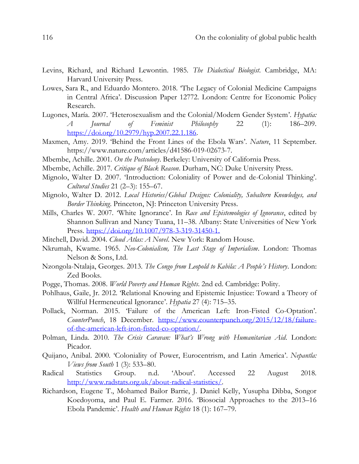- Levins, Richard, and Richard Lewontin. 1985. *The Dialectical Biologist*. Cambridge, MA: Harvard University Press.
- Lowes, Sara R., and Eduardo Montero. 2018. 'The Legacy of Colonial Medicine Campaigns in Central Africa'. Discussion Paper 12772. London: Centre for Economic Policy Research.
- Lugones, María. 2007. 'Heterosexualism and the Colonial/Modern Gender System'. *Hypatia: A Journal of Feminist Philosophy* 22 (1): 186–209. [https://doi.org/10.2979/hyp.2007.22.1.186.](https://doi.org/10.2979/hyp.2007.22.1.186)
- Maxmen, Amy. 2019. 'Behind the Front Lines of the Ebola Wars'. *Nature*, 11 September. https://www.nature.com/articles/d41586-019-02673-7.
- Mbembe, Achille. 2001. *On the Postcolony*. Berkeley: University of California Press.
- Mbembe, Achille. 2017. *Critique of Black Reason*. Durham, NC: Duke University Press.
- Mignolo, Walter D. 2007. 'Introduction: Coloniality of Power and de-Colonial Thinking'. *Cultural Studies* 21 (2–3): 155–67.
- Mignolo, Walter D. 2012. *Local Histories/Global Designs: Coloniality, Subaltern Knowledges, and Border Thinking*. Princeton, NJ: Princeton University Press.
- Mills, Charles W. 2007. 'White Ignorance'. In *Race and Epistemologies of Ignorance*, edited by Shannon Sullivan and Nancy Tuana, 11–38. Albany: State Universities of New York Press.<https://doi.org/10.1007/978-3-319-31450-1.>
- Mitchell, David. 2004. *Cloud Atlas: A Novel*. New York: Random House.
- Nkrumah, Kwame. 1965. *Neo-Colonialism, The Last Stage of Imperialism*. London: Thomas Nelson & Sons, Ltd.
- Nzongola-Ntalaja, Georges. 2013. *The Congo from Leopold to Kabila: A People's History*. London: Zed Books.
- Pogge, Thomas. 2008. *World Poverty and Human Rights*. 2nd ed. Cambridge: Polity.
- Pohlhaus, Gaile, Jr. 2012. 'Relational Knowing and Epistemic Injustice: Toward a Theory of Willful Hermeneutical Ignorance'. *Hypatia* 27 (4): 715–35.
- Pollack, Norman. 2015. 'Failure of the American Left: Iron-Fisted Co-Optation'. *CounterPunch*, 18 December. [https://www.counterpunch.org/2015/12/18/failure](https://www.counterpunch.org/2015/12/18/failure-of-the-american-left-iron-fisted-co-optation/)[of-the-american-left-iron-fisted-co-optation/.](https://www.counterpunch.org/2015/12/18/failure-of-the-american-left-iron-fisted-co-optation/)
- Polman, Linda. 2010. *The Crisis Caravan: What's Wrong with Humanitarian Aid*. London: Picador.
- Quijano, Anibal. 2000. 'Coloniality of Power, Eurocentrism, and Latin America'. *Nepantla: Views from South* 1 (3): 533–80.
- Radical Statistics Group. n.d. 'About'. Accessed 22 August 2018. [http://www.radstats.org.uk/about-radical-statistics/.](http://www.radstats.org.uk/about-radical-statistics/)
- Richardson, Eugene T., Mohamed Bailor Barrie, J. Daniel Kelly, Yusupha Dibba, Songor Koedoyoma, and Paul E. Farmer. 2016. 'Biosocial Approaches to the 2013–16 Ebola Pandemic'. *Health and Human Rights* 18 (1): 167–79.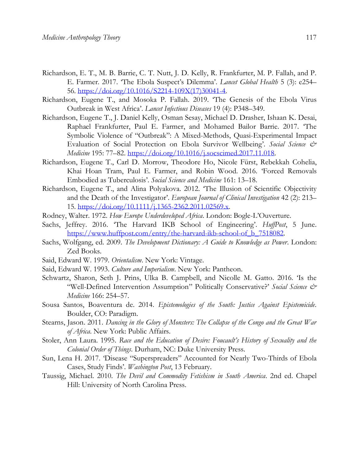- Richardson, E. T., M. B. Barrie, C. T. Nutt, J. D. Kelly, R. Frankfurter, M. P. Fallah, and P. E. Farmer. 2017. 'The Ebola Suspect's Dilemma'. *Lancet Global Health* 5 (3): e254– 56. [https://doi.org/10.1016/S2214-109X\(17\)30041-4.](https://doi.org/10.1016/S2214-109X(17)30041-4)
- Richardson, Eugene T., and Mosoka P. Fallah. 2019. 'The Genesis of the Ebola Virus Outbreak in West Africa'. *Lancet Infectious Diseases* 19 (4): P348–349.
- Richardson, Eugene T., J. Daniel Kelly, Osman Sesay, Michael D. Drasher, Ishaan K. Desai, Raphael Frankfurter, Paul E. Farmer, and Mohamed Bailor Barrie. 2017. 'The Symbolic Violence of "Outbreak": A Mixed-Methods, Quasi-Experimental Impact Evaluation of Social Protection on Ebola Survivor Wellbeing'. *Social Science & Medicine* 195: 77–82. [https://doi.org/10.1016/j.socscimed.2017.11.018.](https://doi.org/10.1016/j.socscimed.2017.11.018)
- Richardson, Eugene T., Carl D. Morrow, Theodore Ho, Nicole Fürst, Rebekkah Cohelia, Khai Hoan Tram, Paul E. Farmer, and Robin Wood. 2016. 'Forced Removals Embodied as Tuberculosis'. *Social Science and Medicine* 161: 13–18.
- Richardson, Eugene T., and Alina Polyakova. 2012. 'The Illusion of Scientific Objectivity and the Death of the Investigator'. *European Journal of Clinical Investigation* 42 (2): 213– 15. [https://doi.org/10.1111/j.1365-2362.2011.02569.x.](https://doi.org/10.1111/j.1365-2362.2011.02569.x)
- Rodney, Walter. 1972. *How Europe Underdeveloped Africa*. London: Bogle-L'Ouverture.
- Sachs, Jeffrey. 2016. 'The Harvard IKB School of Engineering'. *HuffPost*, 5 June. [https://www.huffpost.com/entry/the-harvard-ikb-school-of\\_b\\_7518082.](https://www.huffpost.com/entry/the-harvard-ikb-school-of_b_7518082)
- Sachs, Wolfgang, ed. 2009. *The Development Dictionary: A Guide to Knowledge as Power*. London: Zed Books.
- Said, Edward W. 1979. *Orientalism*. New York: Vintage.
- Said, Edward W. 1993. *Culture and Imperialism*. New York: Pantheon.
- Schwartz, Sharon, Seth J. Prins, Ulka B. Campbell, and Nicolle M. Gatto. 2016. 'Is the "Well-Defined Intervention Assumption" Politically Conservative?' *Social Science & Medicine* 166: 254–57.
- Sousa Santos, Boaventura de. 2014. *Epistemologies of the South: Justice Against Epistemicide*. Boulder, CO: Paradigm.
- Stearns, Jason. 2011. *Dancing in the Glory of Monsters: The Collapse of the Congo and the Great War of Africa*. New York: Public Affairs.
- Stoler, Ann Laura. 1995. *Race and the Education of Desire: Foucault's History of Sexuality and the Colonial Order of Things*. Durham, NC: Duke University Press.
- Sun, Lena H. 2017. 'Disease "Superspreaders" Accounted for Nearly Two-Thirds of Ebola Cases, Study Finds'. *Washington Post*, 13 February.
- Taussig, Michael. 2010. *The Devil and Commodity Fetishism in South America*. 2nd ed. Chapel Hill: University of North Carolina Press.